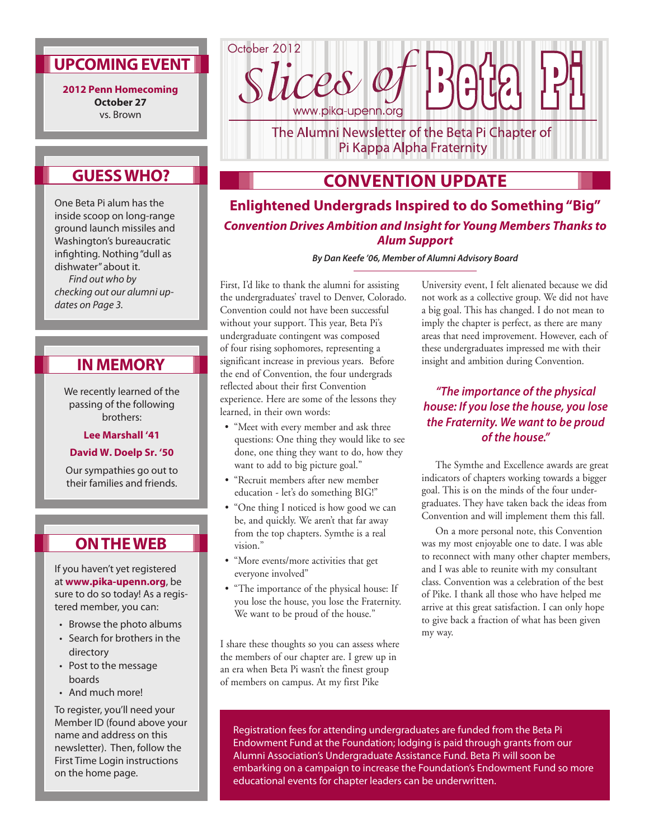### **Upcoming Event**

**2012 Penn Homecoming October 27** vs. Brown

## **Guess Who?**

One Beta Pi alum has the inside scoop on long-range ground launch missiles and Washington's bureaucratic infighting. Nothing "dull as dishwater" about it. *Find out who by checking out our alumni up-*

# **In Memory**

*dates on Page 3.* 

We recently learned of the passing of the following brothers:

#### **Lee Marshall '41**

#### **David W. Doelp Sr. '50**

Our sympathies go out to their families and friends.

### **ON THE WEB**

If you haven't yet registered at **www.pika-upenn.org**, be sure to do so today! As a registered member, you can:

- • Browse the photo albums
- • Search for brothers in the directory
- • Post to the message boards
- • And much more!

To register, you'll need your Member ID (found above your name and address on this newsletter). Then, follow the First Time Login instructions on the home page.

October 2012ices of www.pika-upenn.org

The Alumni Newsletter of the Beta Pi Chapter of Pi Kappa Alpha Fraternity

## **Convention Update**

**Enlightened Undergrads Inspired to do Something "Big"** *Convention Drives Ambition and Insight for Young Members Thanks to Alum Support*

*By Dan Keefe '06, Member of Alumni Advisory Board*

First, I'd like to thank the alumni for assisting the undergraduates' travel to Denver, Colorado. Convention could not have been successful without your support. This year, Beta Pi's undergraduate contingent was composed of four rising sophomores, representing a significant increase in previous years. Before the end of Convention, the four undergrads reflected about their first Convention experience. Here are some of the lessons they learned, in their own words:

- "Meet with every member and ask three questions: One thing they would like to see done, one thing they want to do, how they want to add to big picture goal."
- "Recruit members after new member education - let's do something BIG!"
- "One thing I noticed is how good we can be, and quickly. We aren't that far away from the top chapters. Symthe is a real vision."
- • "More events/more activities that get everyone involved"
- "The importance of the physical house: If you lose the house, you lose the Fraternity. We want to be proud of the house."

I share these thoughts so you can assess where the members of our chapter are. I grew up in an era when Beta Pi wasn't the finest group of members on campus. At my first Pike

University event, I felt alienated because we did not work as a collective group. We did not have a big goal. This has changed. I do not mean to imply the chapter is perfect, as there are many areas that need improvement. However, each of these undergraduates impressed me with their insight and ambition during Convention.

### *"The importance of the physical house: If you lose the house, you lose the Fraternity. We want to be proud of the house."*

The Symthe and Excellence awards are great indicators of chapters working towards a bigger goal. This is on the minds of the four undergraduates. They have taken back the ideas from Convention and will implement them this fall.

On a more personal note, this Convention was my most enjoyable one to date. I was able to reconnect with many other chapter members, and I was able to reunite with my consultant class. Convention was a celebration of the best of Pike. I thank all those who have helped me arrive at this great satisfaction. I can only hope to give back a fraction of what has been given my way.

Registration fees for attending undergraduates are funded from the Beta Pi Endowment Fund at the Foundation; lodging is paid through grants from our Alumni Association's Undergraduate Assistance Fund. Beta Pi will soon be embarking on a campaign to increase the Foundation's Endowment Fund so more educational events for chapter leaders can be underwritten.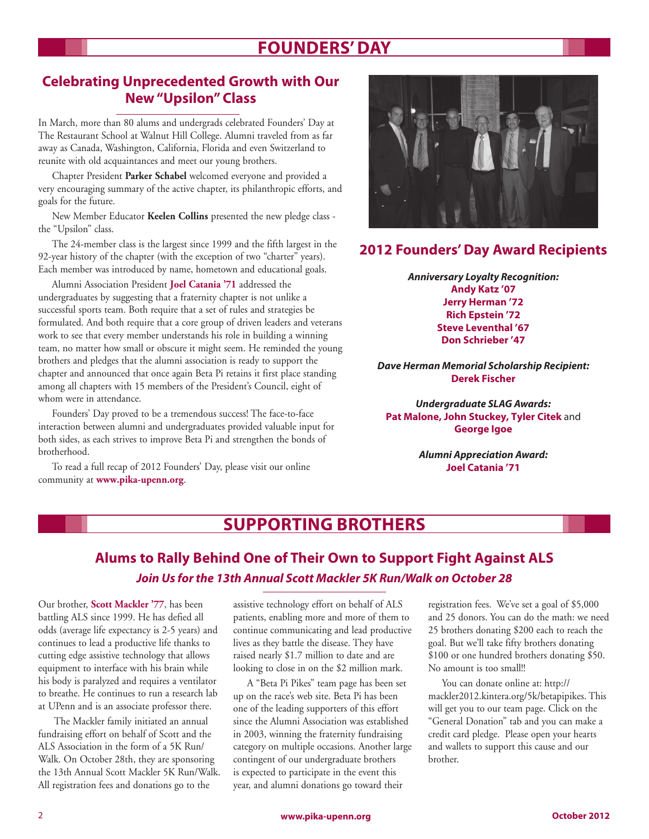# **Founders' Day**

### **Celebrating Unprecedented Growth with Our New "Upsilon" Class**

In March, more than 80 alums and undergrads celebrated Founders' Day at The Restaurant School at Walnut Hill College. Alumni traveled from as far away as Canada, Washington, California, Florida and even Switzerland to reunite with old acquaintances and meet our young brothers.

Chapter President **Parker Schabel** welcomed everyone and provided a very encouraging summary of the active chapter, its philanthropic efforts, and goals for the future.

New Member Educator **Keelen Collins** presented the new pledge class the "Upsilon" class.

The 24-member class is the largest since 1999 and the fifth largest in the 92-year history of the chapter (with the exception of two "charter" years). Each member was introduced by name, hometown and educational goals.

Alumni Association President **Joel Catania '71** addressed the undergraduates by suggesting that a fraternity chapter is not unlike a successful sports team. Both require that a set of rules and strategies be formulated. And both require that a core group of driven leaders and veterans work to see that every member understands his role in building a winning team, no matter how small or obscure it might seem. He reminded the young brothers and pledges that the alumni association is ready to support the chapter and announced that once again Beta Pi retains it first place standing among all chapters with 15 members of the President's Council, eight of whom were in attendance.

Founders' Day proved to be a tremendous success! The face-to-face interaction between alumni and undergraduates provided valuable input for both sides, as each strives to improve Beta Pi and strengthen the bonds of brotherhood.

To read a full recap of 2012 Founders' Day, please visit our online community at **www.pika-upenn.org**.



### **2012 Founders' Day Award Recipients**

*Anniversary Loyalty Recognition:* **Andy Katz '07 Jerry Herman '72 Rich Epstein '72 Steve Leventhal '67 Don Schrieber '47**

*Dave Herman Memorial Scholarship Recipient:* **Derek Fischer**

*Undergraduate SLAG Awards:* **Pat Malone, John Stuckey, Tyler Citek** and **George Igoe**

> *Alumni Appreciation Award:* **Joel Catania '71**

# **SUPPORTING BROTHERS**

### **Alums to Rally Behind One of Their Own to Support Fight Against ALS** *Join Us for the 13th Annual Scott Mackler 5K Run/Walk on October 28*

Our brother, **Scott Mackler '77**, has been battling ALS since 1999. He has defied all odds (average life expectancy is 2-5 years) and continues to lead a productive life thanks to cutting edge assistive technology that allows equipment to interface with his brain while his body is paralyzed and requires a ventilator to breathe. He continues to run a research lab at UPenn and is an associate professor there.

 The Mackler family initiated an annual fundraising effort on behalf of Scott and the ALS Association in the form of a 5K Run/ Walk. On October 28th, they are sponsoring the 13th Annual Scott Mackler 5K Run/Walk. All registration fees and donations go to the

assistive technology effort on behalf of ALS patients, enabling more and more of them to continue communicating and lead productive lives as they battle the disease. They have raised nearly \$1.7 million to date and are looking to close in on the \$2 million mark.

A "Beta Pi Pikes" team page has been set up on the race's web site. Beta Pi has been one of the leading supporters of this effort since the Alumni Association was established in 2003, winning the fraternity fundraising category on multiple occasions. Another large contingent of our undergraduate brothers is expected to participate in the event this year, and alumni donations go toward their

registration fees. We've set a goal of \$5,000 and 25 donors. You can do the math: we need 25 brothers donating \$200 each to reach the goal. But we'll take fifty brothers donating \$100 or one hundred brothers donating \$50. No amount is too small!!

You can donate online at: http:// mackler2012.kintera.org/5k/betapipikes. This will get you to our team page. Click on the "General Donation" tab and you can make a credit card pledge. Please open your hearts and wallets to support this cause and our brother.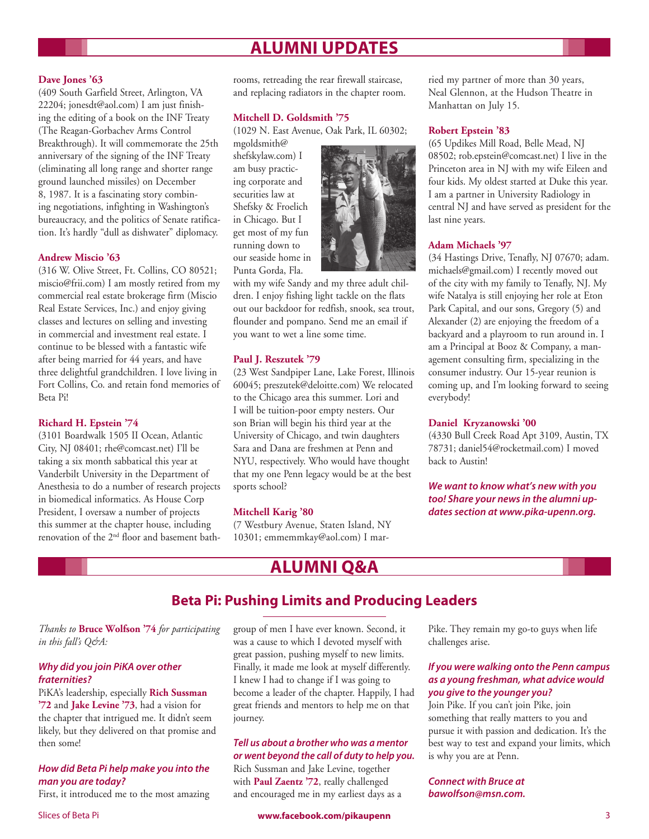# **Alumni Updates**

#### **Dave Jones '63**

(409 South Garfield Street, Arlington, VA 22204; jonesdt@aol.com) I am just finishing the editing of a book on the INF Treaty (The Reagan-Gorbachev Arms Control Breakthrough). It will commemorate the 25th anniversary of the signing of the INF Treaty (eliminating all long range and shorter range ground launched missiles) on December 8, 1987. It is a fascinating story combining negotiations, infighting in Washington's bureaucracy, and the politics of Senate ratification. It's hardly "dull as dishwater" diplomacy.

#### **Andrew Miscio '63**

(316 W. Olive Street, Ft. Collins, CO 80521; miscio@frii.com) I am mostly retired from my commercial real estate brokerage firm (Miscio Real Estate Services, Inc.) and enjoy giving classes and lectures on selling and investing in commercial and investment real estate. I continue to be blessed with a fantastic wife after being married for 44 years, and have three delightful grandchildren. I love living in Fort Collins, Co. and retain fond memories of Beta Pi!

#### **Richard H. Epstein '74**

(3101 Boardwalk 1505 II Ocean, Atlantic City, NJ 08401; rhe@comcast.net) I'll be taking a six month sabbatical this year at Vanderbilt University in the Department of Anesthesia to do a number of research projects in biomedical informatics. As House Corp President, I oversaw a number of projects this summer at the chapter house, including renovation of the 2<sup>nd</sup> floor and basement bathrooms, retreading the rear firewall staircase, and replacing radiators in the chapter room.

#### **Mitchell D. Goldsmith '75**

(1029 N. East Avenue, Oak Park, IL 60302;

mgoldsmith@ shefskylaw.com) I am busy practicing corporate and securities law at Shefsky & Froelich in Chicago. But I get most of my fun running down to our seaside home in Punta Gorda, Fla.

with my wife Sandy and my three adult children. I enjoy fishing light tackle on the flats out our backdoor for redfish, snook, sea trout, flounder and pompano. Send me an email if you want to wet a line some time.

#### **Paul J. Reszutek '79**

(23 West Sandpiper Lane, Lake Forest, Illinois 60045; preszutek@deloitte.com) We relocated to the Chicago area this summer. Lori and I will be tuition-poor empty nesters. Our son Brian will begin his third year at the University of Chicago, and twin daughters Sara and Dana are freshmen at Penn and NYU, respectively. Who would have thought that my one Penn legacy would be at the best sports school?

#### **Mitchell Karig '80**

(7 Westbury Avenue, Staten Island, NY 10301; emmemmkay@aol.com) I married my partner of more than 30 years, Neal Glennon, at the Hudson Theatre in Manhattan on July 15.

#### **Robert Epstein '83**

(65 Updikes Mill Road, Belle Mead, NJ 08502; rob.epstein@comcast.net) I live in the Princeton area in NJ with my wife Eileen and four kids. My oldest started at Duke this year. I am a partner in University Radiology in central NJ and have served as president for the last nine years.

#### **Adam Michaels '97**

(34 Hastings Drive, Tenafly, NJ 07670; adam. michaels@gmail.com) I recently moved out of the city with my family to Tenafly, NJ. My wife Natalya is still enjoying her role at Eton Park Capital, and our sons, Gregory (5) and Alexander (2) are enjoying the freedom of a backyard and a playroom to run around in. I am a Principal at Booz & Company, a management consulting firm, specializing in the consumer industry. Our 15-year reunion is coming up, and I'm looking forward to seeing everybody!

#### **Daniel Kryzanowski '00**

(4330 Bull Creek Road Apt 3109, Austin, TX 78731; daniel54@rocketmail.com) I moved back to Austin!

*We want to know what's new with you too! Share your news in the alumni updates section at www.pika-upenn.org.*

### **ALumni Q&A**

### **Beta Pi: Pushing Limits and Producing Leaders**

*Thanks to* **Bruce Wolfson '74** *for participating in this fall's Q&A:*

#### *Why did you join PiKA over other fraternities?*

PiKA's leadership, especially **Rich Sussman '72** and **Jake Levine '73**, had a vision for the chapter that intrigued me. It didn't seem likely, but they delivered on that promise and then some!

#### *How did Beta Pi help make you into the man you are today?*

First, it introduced me to the most amazing

group of men I have ever known. Second, it was a cause to which I devoted myself with great passion, pushing myself to new limits. Finally, it made me look at myself differently. I knew I had to change if I was going to become a leader of the chapter. Happily, I had great friends and mentors to help me on that journey.

#### *Tell us about a brother who was a mentor or went beyond the call of duty to help you.*

Rich Sussman and Jake Levine, together with **Paul Zaentz '72**, really challenged and encouraged me in my earliest days as a Pike. They remain my go-to guys when life challenges arise.

#### *If you were walking onto the Penn campus as a young freshman, what advice would you give to the younger you?*

Join Pike. If you can't join Pike, join something that really matters to you and pursue it with passion and dedication. It's the best way to test and expand your limits, which is why you are at Penn.

*Connect with Bruce at bawolfson@msn.com.*